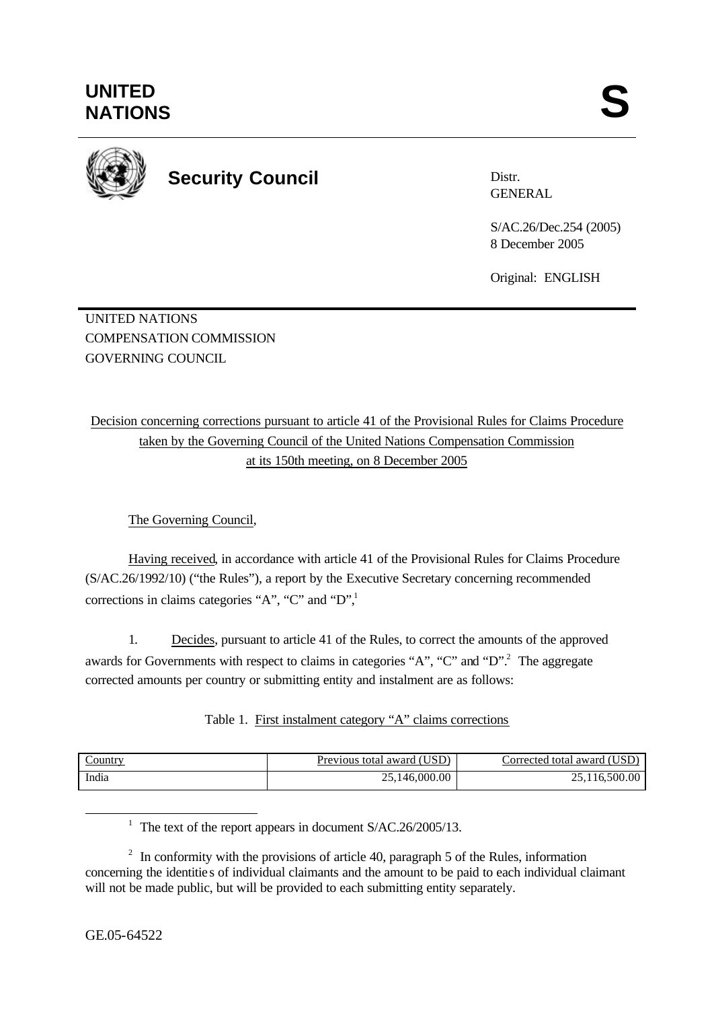

# **Security Council**

Distr. GENERAL

S/AC.26/Dec.254 (2005) 8 December 2005

Original: ENGLISH

UNITED NATIONS COMPENSATION COMMISSION GOVERNING COUNCIL

Decision concerning corrections pursuant to article 41 of the Provisional Rules for Claims Procedure taken by the Governing Council of the United Nations Compensation Commission at its 150th meeting, on 8 December 2005

The Governing Council,

Having received, in accordance with article 41 of the Provisional Rules for Claims Procedure (S/AC.26/1992/10) ("the Rules"), a report by the Executive Secretary concerning recommended corrections in claims categories "A", "C" and " $D$ ",

1. Decides, pursuant to article 41 of the Rules, to correct the amounts of the approved awards for Governments with respect to claims in categories "A", "C" and "D".<sup>2</sup> The aggregate corrected amounts per country or submitting entity and instalment are as follows:

| Table 1. First instalment category "A" claims corrections |  |  |
|-----------------------------------------------------------|--|--|
|                                                           |  |  |

| <u>Country</u> | (USD)<br>Previous.<br>total award | (USD)<br>orrected total award. |
|----------------|-----------------------------------|--------------------------------|
| India          | ,146,000.00                       | 116,500.00                     |

<sup>1</sup> The text of the report appears in document S/AC.26/2005/13.

l

 $2\;\;$  In conformity with the provisions of article 40, paragraph 5 of the Rules, information concerning the identitie s of individual claimants and the amount to be paid to each individual claimant will not be made public, but will be provided to each submitting entity separately.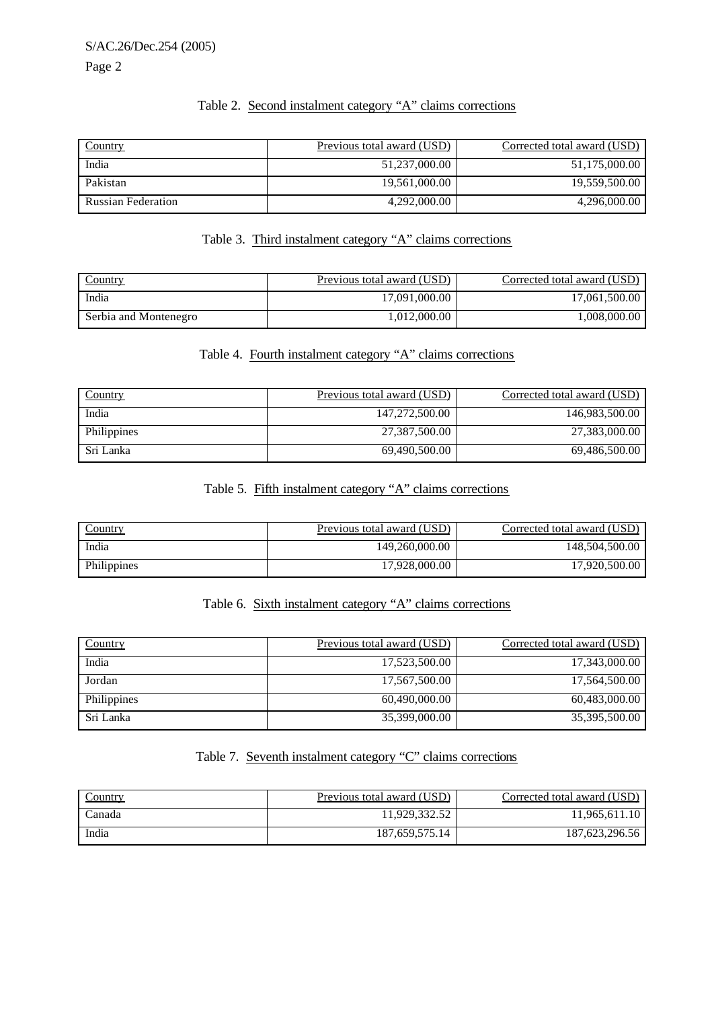# Table 2. Second instalment category "A" claims corrections

| <b>Country</b>            | Previous total award (USD) | Corrected total award (USD) |
|---------------------------|----------------------------|-----------------------------|
| India                     | 51,237,000.00              | 51,175,000.00               |
| Pakistan                  | 19,561,000.00              | 19,559,500.00               |
| <b>Russian Federation</b> | 4.292,000.00               | 4,296,000.00                |

#### Table 3. Third instalment category "A" claims corrections

| <b>Country</b>        | <u>Previous total award (USD)</u> | Corrected total award (USD) |
|-----------------------|-----------------------------------|-----------------------------|
| India                 | 17.091.000.00                     | 17.061.500.00               |
| Serbia and Montenegro | 1.012.000.00                      | 1.008.000.00                |

# Table 4. Fourth instalment category "A" claims corrections

| Country     | Previous total award (USD) | Corrected total award (USD) |
|-------------|----------------------------|-----------------------------|
| India       | 147,272,500.00             | 146,983,500.00              |
| Philippines | 27,387,500.00              | 27,383,000.00               |
| Sri Lanka   | 69.490.500.00              | 69.486.500.00               |

# Table 5. Fifth instalment category "A" claims corrections

| <u>Country</u> | <u>Previous total award (USD)</u> | Corrected total award (USD) |
|----------------|-----------------------------------|-----------------------------|
| India          | 149,260,000.00                    | 148,504,500.00              |
| Philippines    | 17.928.000.00                     | 17.920.500.00               |

# Table 6. Sixth instalment category "A" claims corrections

| <b>Country</b> | Previous total award (USD) | Corrected total award (USD) |
|----------------|----------------------------|-----------------------------|
| India          | 17,523,500.00              | 17,343,000.00               |
| Jordan         | 17,567,500.00              | 17,564,500.00               |
| Philippines    | 60.490.000.00              | 60,483,000.00               |
| Sri Lanka      | 35,399,000.00              | 35,395,500.00               |

# Table 7. Seventh instalment category "C" claims corrections

| Country | <u>Previous total award (USD)</u> | Corrected total award (USD) |
|---------|-----------------------------------|-----------------------------|
| Canada  | 11.929.332.52                     | 11.965.611.10               |
| India   | 187,659,575.14                    | 187, 623, 296.56            |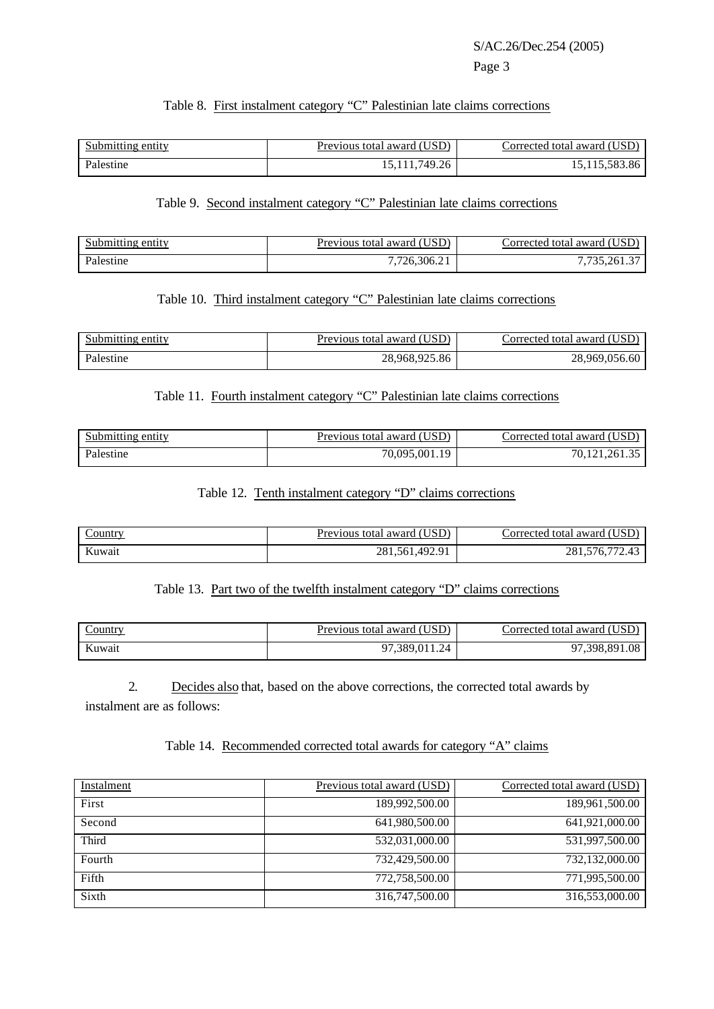#### Table 8. First instalment category "C" Palestinian late claims corrections

| Submitting entity | (USD)<br>Previous total award ( | Corrected total award (USD |
|-------------------|---------------------------------|----------------------------|
| Palestine         | 15, 111, 749. 26                | 19,119,909.00              |

## Table 9. Second instalment category "C" Palestinian late claims corrections

| Submitting entity | Previous total award (USD) | ′USD<br>Corrected total award |
|-------------------|----------------------------|-------------------------------|
| Palestine         | 726,306.21                 | 135,261.3                     |

#### Table 10. Third instalment category "C" Palestinian late claims corrections

| Submitting entity | Previous total award (USD) | (USD<br>∶orrected total award⊣ |
|-------------------|----------------------------|--------------------------------|
| Palestine         | .925.86<br>28,968,         | 28.9<br>,969,056.60            |

# Table 11. Fourth instalment category "C" Palestinian late claims corrections

| Submitting entity | Previous total award (USD). | Corrected total award (USD) |
|-------------------|-----------------------------|-----------------------------|
| Palestine         | 70,095,001.1.<br>10         | 70.121.261.35               |

# Table 12. Tenth instalment category "D" claims corrections

| $\angle$ ountry | TISD)<br>, total award<br>Previous | 'USI<br>`orrected total award ( |
|-----------------|------------------------------------|---------------------------------|
| Kuwait          | 492.91<br>281.561.4                | $- -$<br>.                      |

#### Table 13. Part two of the twelfth instalment category "D" claims corrections

| <u>_ountry</u> | <b>Previous total award (USD)</b> | Corrected total award (USD) |
|----------------|-----------------------------------|-----------------------------|
| Kuwait         | 011.24<br>389<br>$\Omega$         | 398.891.08<br>07            |

2. Decides also that, based on the above corrections, the corrected total awards by instalment are as follows:

## Table 14. Recommended corrected total awards for category "A" claims

| Instalment | Previous total award (USD) | Corrected total award (USD) |
|------------|----------------------------|-----------------------------|
| First      | 189,992,500.00             | 189,961,500.00              |
| Second     | 641,980,500.00             | 641,921,000.00              |
| Third      | 532,031,000.00             | 531,997,500.00              |
| Fourth     | 732,429,500.00             | 732.132.000.00              |
| Fifth      | 772,758,500.00             | 771,995,500.00              |
| Sixth      | 316,747,500.00             | 316,553,000.00              |